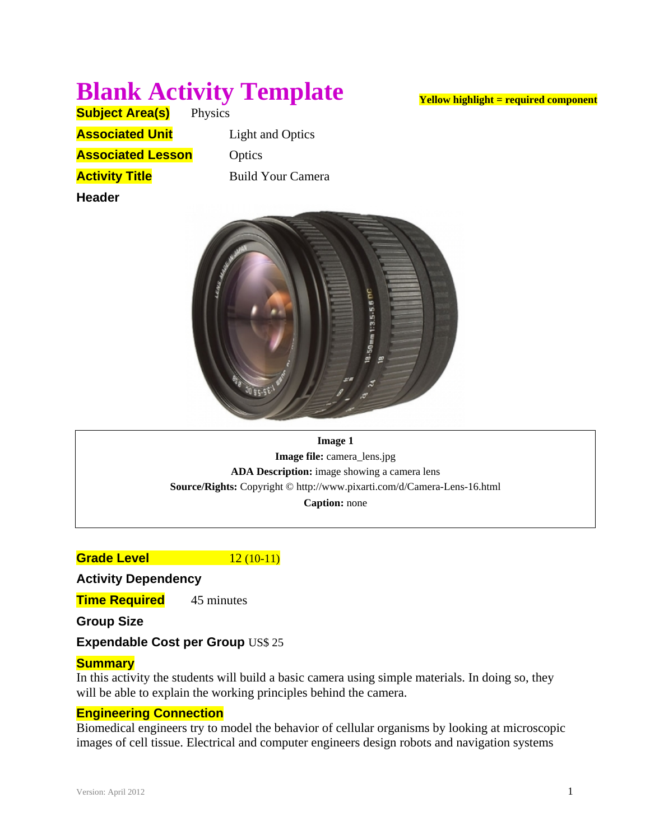# **Blank Activity Template**

**Subject Area(s)** Physics **Associated Unit** Light and Optics **Associated Lesson Optics Activity Title Build Your Camera Header**



**Image 1 Image file:** camera lens.jpg **ADA Description:** image showing a camera lens **Source/Rights:** Copyright © http://www.pixarti.com/d/Camera-Lens-16.html **Caption:** none

**Grade Level 12 (10-11)** 

**Activity Dependency** 

**Time Required** 45 minutes

**Group Size**

**Expendable Cost per Group** US\$ 25

# **Summary**

In this activity the students will build a basic camera using simple materials. In doing so, they will be able to explain the working principles behind the camera.

# **Engineering Connection**

Biomedical engineers try to model the behavior of cellular organisms by looking at microscopic images of cell tissue. Electrical and computer engineers design robots and navigation systems

**Yellow highlight = required component**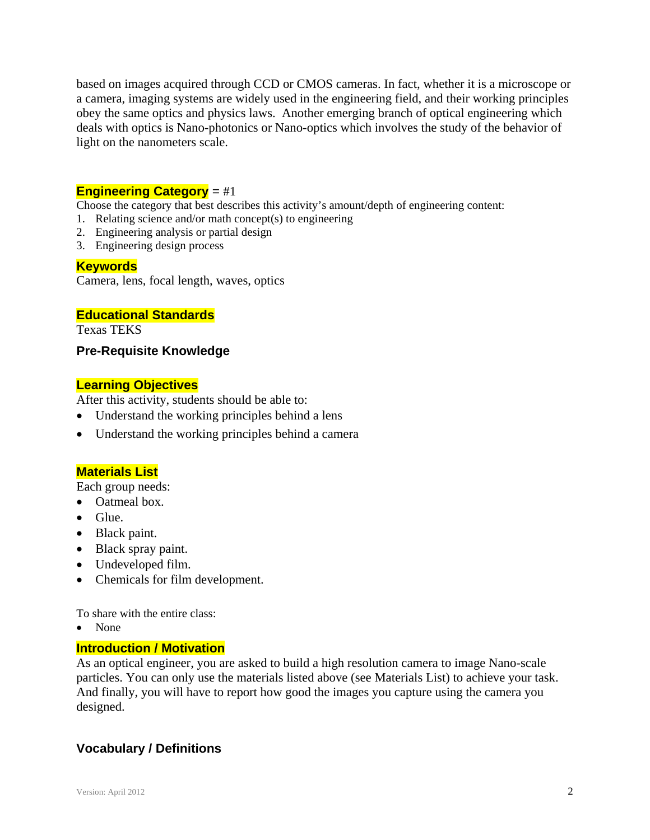based on images acquired through CCD or CMOS cameras. In fact, whether it is a microscope or a camera, imaging systems are widely used in the engineering field, and their working principles obey the same optics and physics laws. Another emerging branch of optical engineering which deals with optics is Nano-photonics or Nano-optics which involves the study of the behavior of light on the nanometers scale.

# **Engineering Category** = #1

Choose the category that best describes this activity's amount/depth of engineering content:

- 1. Relating science and/or math concept(s) to engineering
- 2. Engineering analysis or partial design
- 3. Engineering design process

#### **Keywords**

Camera, lens, focal length, waves, optics

## **Educational Standards**

Texas TEKS

#### **Pre-Requisite Knowledge**

#### **Learning Objectives**

After this activity, students should be able to:

- Understand the working principles behind a lens
- Understand the working principles behind a camera

# **Materials List**

Each group needs:

- Oatmeal box.
- $\bullet$  Glue.
- Black paint.
- Black spray paint.
- Undeveloped film.
- Chemicals for film development.

To share with the entire class:

None

#### **Introduction / Motivation**

As an optical engineer, you are asked to build a high resolution camera to image Nano-scale particles. You can only use the materials listed above (see Materials List) to achieve your task. And finally, you will have to report how good the images you capture using the camera you designed.

# **Vocabulary / Definitions**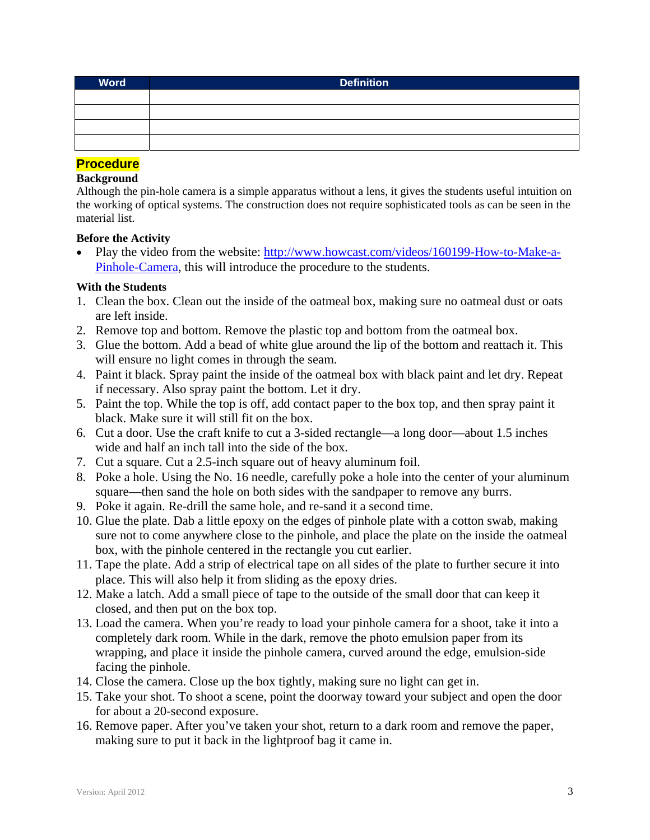| <b>Word</b> | <b>Definition</b> |
|-------------|-------------------|
|             |                   |
|             |                   |
|             |                   |
|             |                   |

# **Procedure**

#### **Background**

Although the pin-hole camera is a simple apparatus without a lens, it gives the students useful intuition on the working of optical systems. The construction does not require sophisticated tools as can be seen in the material list.

#### **Before the Activity**

• Play the video from the website: http://www.howcast.com/videos/160199-How-to-Make-a-Pinhole-Camera, this will introduce the procedure to the students.

#### **With the Students**

- 1. Clean the box. Clean out the inside of the oatmeal box, making sure no oatmeal dust or oats are left inside.
- 2. Remove top and bottom. Remove the plastic top and bottom from the oatmeal box.
- 3. Glue the bottom. Add a bead of white glue around the lip of the bottom and reattach it. This will ensure no light comes in through the seam.
- 4. Paint it black. Spray paint the inside of the oatmeal box with black paint and let dry. Repeat if necessary. Also spray paint the bottom. Let it dry.
- 5. Paint the top. While the top is off, add contact paper to the box top, and then spray paint it black. Make sure it will still fit on the box.
- 6. Cut a door. Use the craft knife to cut a 3-sided rectangle—a long door—about 1.5 inches wide and half an inch tall into the side of the box.
- 7. Cut a square. Cut a 2.5-inch square out of heavy aluminum foil.
- 8. Poke a hole. Using the No. 16 needle, carefully poke a hole into the center of your aluminum square—then sand the hole on both sides with the sandpaper to remove any burrs.
- 9. Poke it again. Re-drill the same hole, and re-sand it a second time.
- 10. Glue the plate. Dab a little epoxy on the edges of pinhole plate with a cotton swab, making sure not to come anywhere close to the pinhole, and place the plate on the inside the oatmeal box, with the pinhole centered in the rectangle you cut earlier.
- 11. Tape the plate. Add a strip of electrical tape on all sides of the plate to further secure it into place. This will also help it from sliding as the epoxy dries.
- 12. Make a latch. Add a small piece of tape to the outside of the small door that can keep it closed, and then put on the box top.
- 13. Load the camera. When you're ready to load your pinhole camera for a shoot, take it into a completely dark room. While in the dark, remove the photo emulsion paper from its wrapping, and place it inside the pinhole camera, curved around the edge, emulsion-side facing the pinhole.
- 14. Close the camera. Close up the box tightly, making sure no light can get in.
- 15. Take your shot. To shoot a scene, point the doorway toward your subject and open the door for about a 20-second exposure.
- 16. Remove paper. After you've taken your shot, return to a dark room and remove the paper, making sure to put it back in the lightproof bag it came in.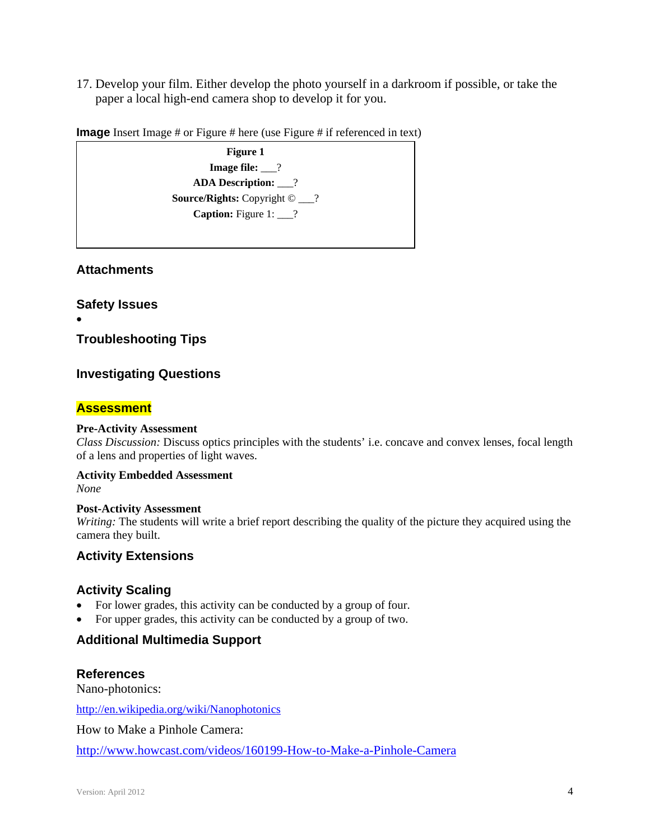17. Develop your film. Either develop the photo yourself in a darkroom if possible, or take the paper a local high-end camera shop to develop it for you.

**Image** Insert Image # or Figure # here (use Figure # if referenced in text)

**Figure 1 Image file:** 2 **ADA Description:** \_\_\_? **Source/Rights:** Copyright © \_\_\_? **Caption:** Figure 1: 2

## **Attachments**

**Safety Issues** 

 $\bullet$ 

**Troubleshooting Tips** 

## **Investigating Questions**

#### **Assessment**

#### **Pre-Activity Assessment**

*Class Discussion:* Discuss optics principles with the students' i.e. concave and convex lenses, focal length of a lens and properties of light waves.

# **Activity Embedded Assessment**

*None*

#### **Post-Activity Assessment**

*Writing:* The students will write a brief report describing the quality of the picture they acquired using the camera they built.

#### **Activity Extensions**

#### **Activity Scaling**

- For lower grades, this activity can be conducted by a group of four.
- For upper grades, this activity can be conducted by a group of two.

#### **Additional Multimedia Support**

#### **References**

Nano-photonics:

http://en.wikipedia.org/wiki/Nanophotonics

How to Make a Pinhole Camera:

http://www.howcast.com/videos/160199-How-to-Make-a-Pinhole-Camera